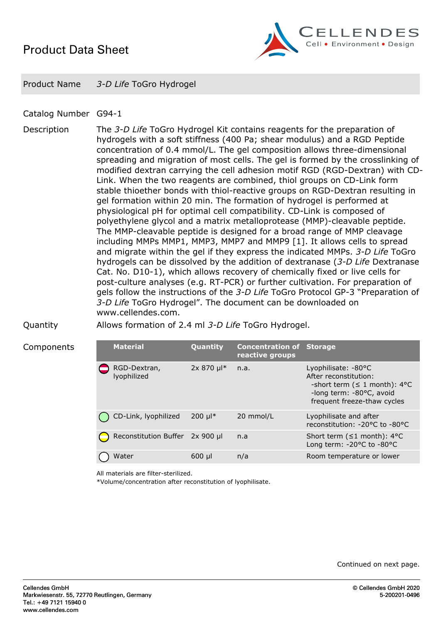## *Product Data Sheet*



*Product Name 3-D Life ToGro Hydrogel*

## *Catalog Number G94-1*

*Description The 3-D Life ToGro Hydrogel Kit contains reagents for the preparation of hydrogels with a soft stiffness (400 Pa; shear modulus) and a RGD Peptide concentration of 0.4 mmol/L. The gel composition allows three-dimensional spreading and migration of most cells. The gel is formed by the crosslinking of modified dextran carrying the cell adhesion motif RGD (RGD-Dextran) with CD-Link. When the two reagents are combined, thiol groups on CD-Link form stable thioether bonds with thiol-reactive groups on RGD-Dextran resulting in gel formation within 20 min. The formation of hydrogel is performed at physiological pH for optimal cell compatibility. CD-Link is composed of polyethylene glycol and a matrix metalloprotease (MMP)-cleavable peptide. The MMP-cleavable peptide is designed for a broad range of MMP cleavage including MMPs MMP1, MMP3, MMP7 and MMP9 [1]. It allows cells to spread and migrate within the gel if they express the indicated MMPs. 3-D Life ToGro hydrogels can be dissolved by the addition of dextranase (3-D Life Dextranase Cat. No. D10-1), which allows recovery of chemically fixed or live cells for post-culture analyses (e.g. RT-PCR) or further cultivation. For preparation of gels follow the instructions of the 3-D Life ToGro Protocol GP-3 "Preparation of 3-D Life ToGro Hydrogel". The document can be downloaded on www.cellendes.com.*

*Components Material Quantity Concentration of*

*Quantity Allows formation of 2.4 ml 3-D Life ToGro Hydrogel.*

| <b>Material</b>             | Quantity                | <b>Concentration of Storage</b><br>reactive groups |                                                                                                                                               |
|-----------------------------|-------------------------|----------------------------------------------------|-----------------------------------------------------------------------------------------------------------------------------------------------|
| RGD-Dextran,<br>lyophilized | $2x 870$ µ <sup>*</sup> | n.a.                                               | Lyophilisate: -80°C<br>After reconstitution:<br>-short term ( $\leq 1$ month): 4°C<br>-long term: -80°C, avoid<br>frequent freeze-thaw cycles |
| CD-Link, lyophilized        | $200 \mu$ <sup>*</sup>  | 20 mmol/L                                          | Lyophilisate and after<br>reconstitution: -20°C to -80°C                                                                                      |
| Reconstitution Buffer       | $2x$ 900 µl             | n.a                                                | Short term ( $\leq 1$ month): 4°C<br>Long term: $-20^{\circ}$ C to $-80^{\circ}$ C                                                            |
| Water                       | $600$ µl                | n/a                                                | Room temperature or lower                                                                                                                     |

*All materials are filter-sterilized.*

*\*Volume/concentration after reconstitution of lyophilisate.*

*Continued on next page.*